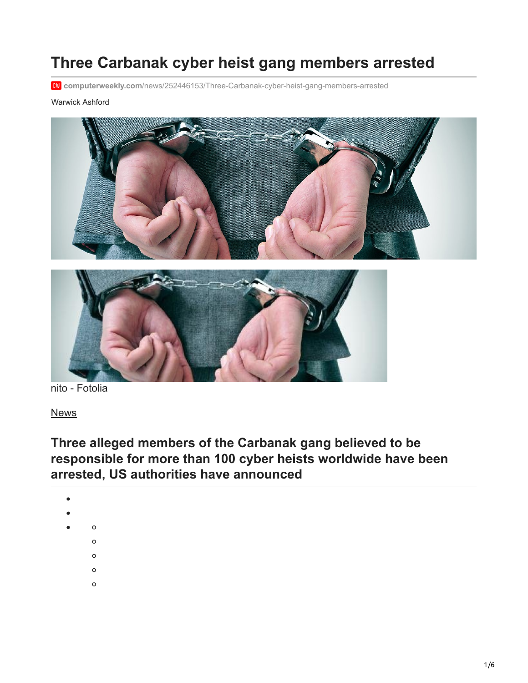# **Three Carbanak cyber heist gang members arrested**

**computerweekly.com**[/news/252446153/Three-Carbanak-cyber-heist-gang-members-arrested](https://www.computerweekly.com/news/252446153/Three-Carbanak-cyber-heist-gang-members-arrested)

#### Warwick Ashford





nito - Fotolia

[News](https://www.computerweekly.com/news)

## **Three alleged members of the Carbanak gang believed to be responsible for more than 100 cyber heists worldwide have been arrested, US authorities have announced**

- 
- - $\circ$ 
		- $\circ$
		- $\circ$
		- $\circ$
		- $\circ$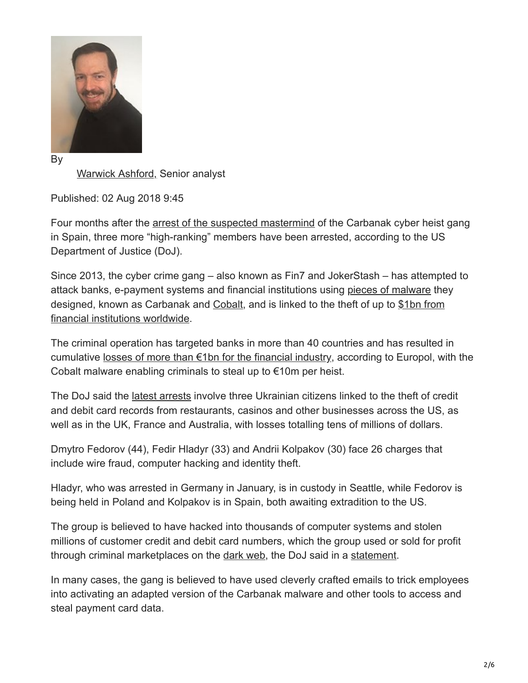

[Warwick Ashford,](https://www.techtarget.com/contributor/Warwick-Ashford) Senior analyst

Published: 02 Aug 2018 9:45

Four months after the [arrest of the suspected mastermind](https://www.computerweekly.com/news/252437565/Police-arrest-1bn-cyber-heist-mastermind) of the Carbanak cyber heist gang in Spain, three more "high-ranking" members have been arrested, according to the US Department of Justice (DoJ).

Since 2013, the cyber crime gang – also known as Fin7 and JokerStash – has attempted to attack banks, e-payment systems and financial institutions using [pieces of malware](https://www.techtarget.com/searchsecurity/news/252462321/Carbanak-malware-was-recording-video-of-victims-desktops) they [designed, known as Carbanak and Cobalt, and is linked to the theft of up to \\$1bn from](https://www.computerweekly.com/news/2240240413/1bn-cyber-heist-underlines-need-for-detection-say-security-experts) financial institutions worldwide.

The criminal operation has targeted banks in more than 40 countries and has resulted in cumulative [losses of more than €1bn for the financial industry,](https://www.computerweekly.com/news/2240240413/1bn-cyber-heist-underlines-need-for-detection-say-security-experts) according to Europol, with the Cobalt malware enabling criminals to steal up to €10m per heist.

The DoJ said the [latest arrests](https://www.techtarget.com/searchsecurity/news/252470239/Chronicle-Crimeware-group-takedowns-increasingly-ineffectual) involve three Ukrainian citizens linked to the theft of credit and debit card records from restaurants, casinos and other businesses across the US, as well as in the UK, France and Australia, with losses totalling tens of millions of dollars.

Dmytro Fedorov (44), Fedir Hladyr (33) and Andrii Kolpakov (30) face 26 charges that include wire fraud, computer hacking and identity theft.

Hladyr, who was arrested in Germany in January, is in custody in Seattle, while Fedorov is being held in Poland and Kolpakov is in Spain, both awaiting extradition to the US.

The group is believed to have hacked into thousands of computer systems and stolen millions of customer credit and debit card numbers, which the group used or sold for profit through criminal marketplaces on the [dark web,](https://www.techtarget.com/whatis/definition/dark-web) the DoJ said in a [statement.](https://www.justice.gov/opa/pr/three-members-notorious-international-cybercrime-group-fin7-custody-role-attacking-over-100)

In many cases, the gang is believed to have used cleverly crafted emails to trick employees into activating an adapted version of the Carbanak malware and other tools to access and steal payment card data.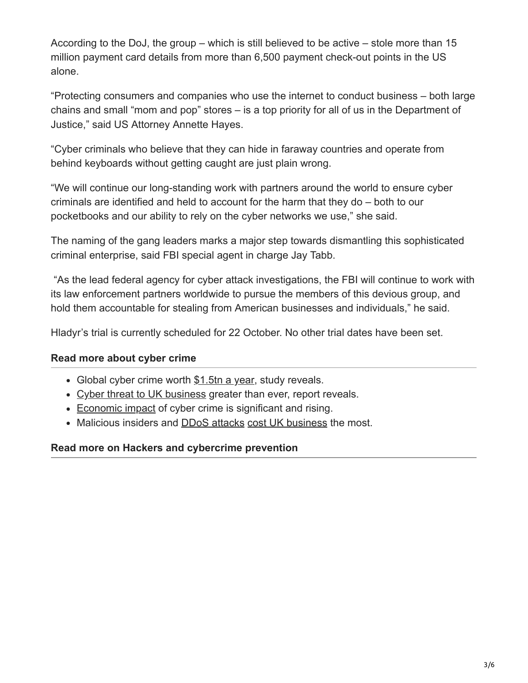According to the DoJ, the group – which is still believed to be active – stole more than 15 million payment card details from more than 6,500 payment check-out points in the US alone.

"Protecting consumers and companies who use the internet to conduct business – both large chains and small "mom and pop" stores – is a top priority for all of us in the Department of Justice," said US Attorney Annette Hayes.

"Cyber criminals who believe that they can hide in faraway countries and operate from behind keyboards without getting caught are just plain wrong.

"We will continue our long-standing work with partners around the world to ensure cyber criminals are identified and held to account for the harm that they do – both to our pocketbooks and our ability to rely on the cyber networks we use," she said.

The naming of the gang leaders marks a major step towards dismantling this sophisticated criminal enterprise, said FBI special agent in charge Jay Tabb.

 "As the lead federal agency for cyber attack investigations, the FBI will continue to work with its law enforcement partners worldwide to pursue the members of this devious group, and hold them accountable for stealing from American businesses and individuals," he said.

Hladyr's trial is currently scheduled for 22 October. No other trial dates have been set.

### **Read more about cyber crime**

- Global cyber crime worth [\\$1.5tn a year](https://www.computerweekly.com/news/252439584/Global-cyber-crime-worth-15tn-a-year-study-reveals), study reveals.
- [Cyber threat to UK business](https://www.computerweekly.com/news/252438612/Cyber-threat-to-UK-business-greater-than-ever-report-reveals) greater than ever, report reveals.
- [Economic impact](https://www.computerweekly.com/news/252435439/Economic-impact-of-cyber-crime-is-significant-and-rising) of cyber crime is significant and rising.
- Malicious insiders and [DDoS attacks](https://www.computerweekly.com/news/450431236/Malicious-insiders-and-DDoS-attacks-cost-UK-business-the-most) [cost UK business](https://www.computerweekly.com/news/450431236/Malicious-insiders-and-DDoS-attacks-cost-UK-business-the-most) the most.

#### **Read more on Hackers and cybercrime prevention**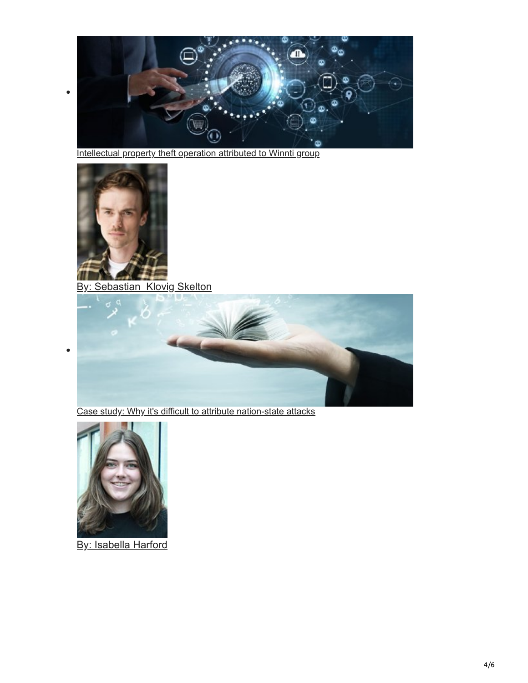

[Intellectual property theft operation attributed to Winnti group](https://www.computerweekly.com/news/252516710/Intellectual-property-theft-operation-attributed-to-Winnti-group)



 $\bullet$ 

 $\bullet$ 

By: Sebastian Klovig Skelton



[Case study: Why it's difficult to attribute nation-state attacks](https://www.techtarget.com/searchsecurity/feature/Case-study-Why-its-difficult-to-attribute-nation-state-attacks)



By: Isabella Harford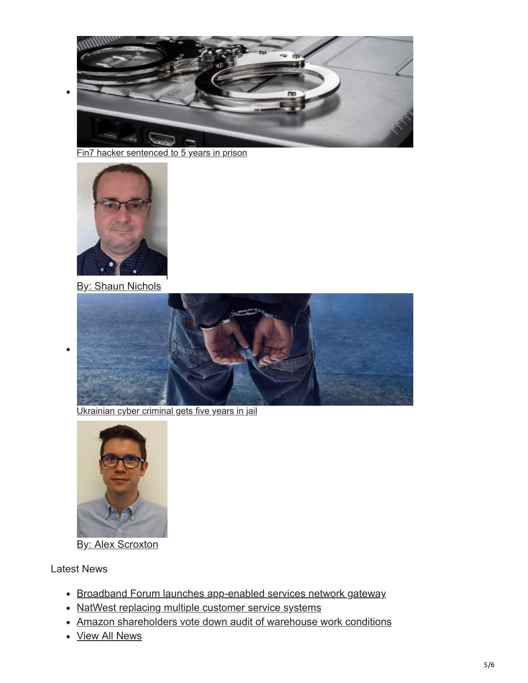

[Fin7 hacker sentenced to 5 years in prison](https://www.techtarget.com/searchsecurity/news/252515753/Fin7-hacker-sentenced-to-five-years-in-prison)



 $\bullet$ 

**By: Shaun Nichols** 



[Ukrainian cyber criminal gets five years in jail](https://www.computerweekly.com/news/252515737/Ukrainian-cyber-criminal-gets-five-years-in-jail)



**By: Alex Scroxton** 

### Latest News

- [Broadband Forum launches app-enabled services network gateway](https://www.computerweekly.com/news/252520775/Broadband-Forum-launches-app-enabled-services-network-gateway)
- [NatWest replacing multiple customer service systems](https://www.computerweekly.com/news/252520758/NatWest-replacing-multiple-customer-service-systems)
- [Amazon shareholders vote down audit of warehouse work conditions](https://www.computerweekly.com/news/252520759/Amazon-shareholders-vote-down-audit-of-warehouse-work-conditions)
- [View All News](https://www.computerweekly.com/news)